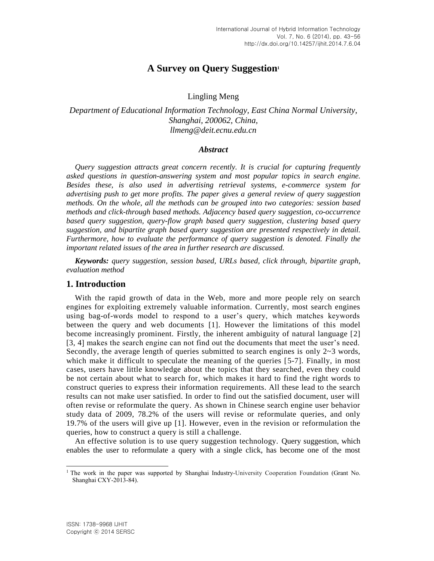# **A Survey on Query Suggestion<sup>1</sup>**

# Lingling Meng

*Department of Educational Information Technology, East China Normal University, Shanghai, 200062, China, [llmeng@deit.ecnu.edu.cn](mailto:llmeng@deit.ecnu.edu.cn)*

# *Abstract*

*Query suggestion attracts great concern recently. It is crucial for capturing frequently asked questions in question-answering system and most popular topics in search engine. Besides these, is also used in advertising retrieval systems, e-commerce system for advertising push to get more profits. The paper gives a general review of query suggestion methods. On the whole, all the methods can be grouped into two categories: session based methods and click-through based methods. Adjacency based query suggestion, co-occurrence based query suggestion, query-flow graph based query suggestion, clustering based query suggestion, and bipartite graph based query suggestion are presented respectively in detail. Furthermore, how to evaluate the performance of query suggestion is denoted. Finally the important related issues of the area in further research are discussed.*

*Keywords: query suggestion, session based, URLs based, click through, bipartite graph, evaluation method*

# **1. Introduction**

With the rapid growth of data in the Web, more and more people rely on search engines for exploiting extremely valuable information. Currently, most search engines using bag-of-words model to respond to a user's query, which matches keywords between the query and web documents [1]. However the limitations of this model become increasingly prominent. Firstly, the inherent ambiguity of natural language [2] [3, 4] makes the search engine can not find out the documents that meet the user's need. Secondly, the average length of queries submitted to search engines is only  $2\nu$ -3 words, which make it difficult to speculate the meaning of the queries [5-7]. Finally, in most cases, users have little knowledge about the topics that they searched, even they could be not certain about what to search for, which makes it hard to find the right words to construct queries to express their information requirements. All these lead to the search results can not make user satisfied. In order to find out the satisfied document, user will often revise or reformulate the query. As shown in Chinese search engine user behavior study data of 2009, 78.2% of the users will revise or reformulate queries, and only 19.7% of the users will give up [1]. However, even in the revision or reformulation the queries, how to construct a query is still a challenge.

An effective solution is to use query suggestion technology. Query suggestion, which enables the user to reformulate a query with a single click, has become one of the most

l <sup>1</sup> The work in the paper was supported by Shanghai Industry-University Cooperation Foundation (Grant No. Shanghai CXY-2013-84).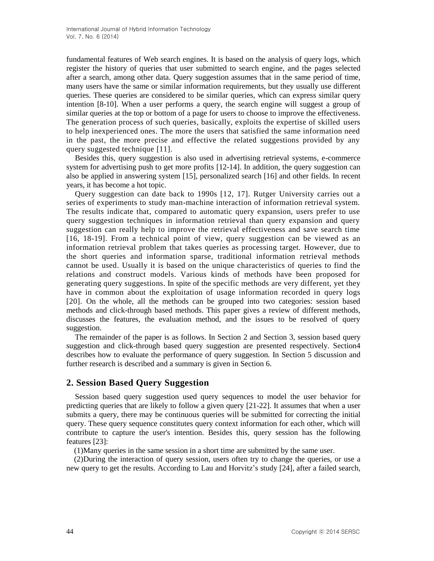fundamental features of Web search engines. It is based on the analysis of query logs, which register the history of queries that user submitted to search engine, and the pages selected after a search, among other data. Query suggestion assumes that in the same period of time, many users have the same or similar information requirements, but they usually use different queries. These queries are considered to be similar queries, which can express similar query intention [8-10]. When a user performs a query, the search engine will suggest a group of similar queries at the top or bottom of a page for users to choose to improve the effectiveness. The generation process of such queries, basically, exploits the expertise of skilled users to help inexperienced ones. The more the users that satisfied the same information need in the past, the more precise and effective the related suggestions provided by any query suggested technique [11].

Besides this, query suggestion is also used in advertising retrieval systems, e-commerce system for advertising push to get more profits [12-14]. In addition, the query suggestion can also be applied in answering system [15], personalized search [16] and other fields. In recent years, it has become a hot topic.

Query suggestion can date back to 1990s [12, 17]. Rutger University carries out a series of experiments to study man-machine interaction of information retrieval system. The results indicate that, compared to automatic query expansion, users prefer to use query suggestion techniques in information retrieval than query expansion and query suggestion can really help to improve the retrieval effectiveness and save search time [16, 18-19]. From a technical point of view, query suggestion can be viewed as an information retrieval problem that takes queries as processing target. However, due to the short queries and information sparse, traditional information retrieval methods cannot be used. Usually it is based on the unique characteristics of queries to find the relations and construct models. Various kinds of methods have been proposed for generating query suggestions. In spite of the specific methods are very different, yet they have in common about the exploitation of usage information recorded in query logs [20]. On the whole, all the methods can be grouped into two categories: session based methods and click-through based methods. This paper gives a review of different methods, discusses the features, the evaluation method, and the issues to be resolved of query suggestion.

The remainder of the paper is as follows. In Section 2 and Section 3, session based query suggestion and click-through based query suggestion are presented respectively. Section4 describes how to evaluate the performance of query suggestion. In Section 5 discussion and further research is described and a summary is given in Section 6.

# **2. Session Based Query Suggestion**

Session based query suggestion used query sequences to model the user behavior for predicting queries that are likely to follow a given query [21-22]. It assumes that when a user submits a query, there may be continuous queries will be submitted for correcting the initial query. These query sequence constitutes query context information for each other, which will contribute to capture the user's intention. Besides this, query session has the following features [23]:

(1)Many queries in the same session in a short time are submitted by the same user.

(2)During the interaction of query session, users often try to change the queries, or use a new query to get the results. According to Lau and Horvitz's study [24], after a failed search,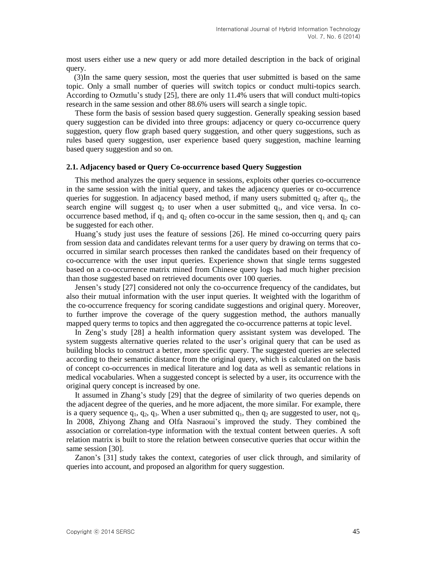most users either use a new query or add more detailed description in the back of original query.

(3)In the same query session, most the queries that user submitted is based on the same topic. Only a small number of queries will switch topics or conduct multi-topics search. According to Ozmutlu's study [25], there are only 11.4% users that will conduct multi-topics research in the same session and other 88.6% users will search a single topic.

These form the basis of session based query suggestion. Generally speaking session based query suggestion can be divided into three groups: adjacency or query co-occurrence query suggestion, query flow graph based query suggestion, and other query suggestions, such as rules based query suggestion, user experience based query suggestion, machine learning based query suggestion and so on.

#### **2.1. Adjacency based or Query Co-occurrence based Query Suggestion**

This method analyzes the query sequence in sessions, exploits other queries co-occurrence in the same session with the initial query, and takes the adjacency queries or co-occurrence queries for suggestion. In adjacency based method, if many users submitted  $q_2$  after  $q_1$ , the search engine will suggest  $q_2$  to user when a user submitted  $q_1$ , and vice versa. In cooccurrence based method, if  $q_1$  and  $q_2$  often co-occur in the same session, then  $q_1$  and  $q_2$  can be suggested for each other.

Huang's study just uses the feature of sessions [26]. He mined co-occurring query pairs from session data and candidates relevant terms for a user query by drawing on terms that cooccurred in similar search processes then ranked the candidates based on their frequency of co-occurrence with the user input queries. Experience shown that single terms suggested based on a co-occurrence matrix mined from Chinese query logs had much higher precision than those suggested based on retrieved documents over 100 queries.

Jensen's study [27] considered not only the co-occurrence frequency of the candidates, but also their mutual information with the user input queries. It weighted with the logarithm of the co-occurrence frequency for scoring candidate suggestions and original query. Moreover, to further improve the coverage of the query suggestion method, the authors manually mapped query terms to topics and then aggregated the co-occurrence patterns at topic level.

In Zeng's study [28] a health information query assistant system was developed. The system suggests alternative queries related to the user's original query that can be used as building blocks to construct a better, more specific query. The suggested queries are selected according to their semantic distance from the original query, which is calculated on the basis of concept co-occurrences in medical literature and log data as well as semantic relations in medical vocabularies. When a suggested concept is selected by a user, its occurrence with the original query concept is increased by one.

It assumed in Zhang's study [29] that the degree of similarity of two queries depends on the adjacent degree of the queries, and he more adjacent, the more similar. For example, there is a query sequence  $q_1, q_2, q_3$ . When a user submitted  $q_1$ , then  $q_2$  are suggested to user, not  $q_3$ . In 2008, Zhiyong Zhang and Olfa Nasraoui's improved the study. They combined the association or correlation-type information with the textual content between queries. A soft relation matrix is built to store the relation between consecutive queries that occur within the same session [30].

Zanon's [31] study takes the context, categories of user click through, and similarity of queries into account, and proposed an algorithm for query suggestion.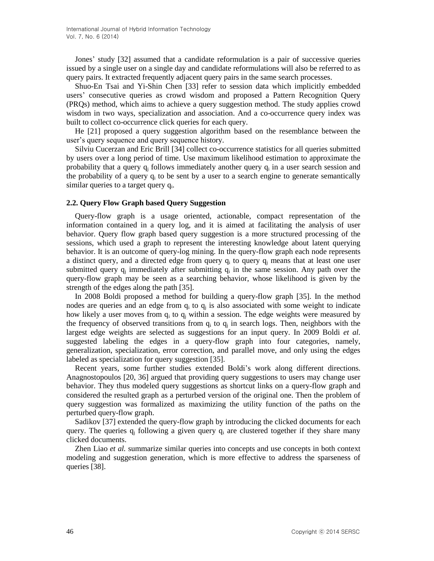Jones' study [32] assumed that a candidate reformulation is a pair of successive queries issued by a single user on a single day and candidate reformulations will also be referred to as query pairs. It extracted frequently adjacent query pairs in the same search processes.

Shuo-En Tsai and Yi-Shin Chen [33] refer to session data which implicitly embedded users' consecutive queries as crowd wisdom and proposed a Pattern Recognition Query (PRQs) method, which aims to achieve a query suggestion method. The study applies crowd wisdom in two ways, specialization and association. And a co-occurrence query index was built to collect co-occurrence click queries for each query.

He [21] proposed a query suggestion algorithm based on the resemblance between the user's query sequence and query sequence history.

Silviu Cucerzan and Eric Brill [34] collect co-occurrence statistics for all queries submitted by users over a long period of time. Use maximum likelihood estimation to approximate the probability that a query  $q_i$  follows immediately another query  $q_i$  in a user search session and the probability of a query  $q_i$  to be sent by a user to a search engine to generate semantically similar queries to a target query q<sub>i</sub>.

#### **2.2. Query Flow Graph based Query Suggestion**

Query-flow graph is a usage oriented, actionable, compact representation of the information contained in a query log, and it is aimed at facilitating the analysis of user behavior. Query flow graph based query suggestion is a more structured processing of the sessions, which used a graph to represent the interesting knowledge about latent querying behavior. It is an outcome of query-log mining. In the query-flow graph each node represents a distinct query, and a directed edge from query  $q_i$  to query  $q_j$  means that at least one user submitted query  $q_i$  immediately after submitting  $q_i$  in the same session. Any path over the query-flow graph may be seen as a searching behavior, whose likelihood is given by the strength of the edges along the path [35].

In 2008 Boldi proposed a method for building a query-flow graph [35]. In the method nodes are queries and an edge from  $q_i$  to  $q_j$  is also associated with some weight to indicate how likely a user moves from  $q_i$  to  $q_j$  within a session. The edge weights were measured by the frequency of observed transitions from  $q_i$  to  $q_j$  in search logs. Then, neighbors with the largest edge weights are selected as suggestions for an input query. In 2009 Boldi *et al.* suggested labeling the edges in a query-flow graph into four categories, namely, generalization, specialization, error correction, and parallel move, and only using the edges labeled as specialization for query suggestion [35].

Recent years, some further studies extended Boldi's work along different directions. Anagnostopoulos [20, 36] argued that providing query suggestions to users may change user behavior. They thus modeled query suggestions as shortcut links on a query-flow graph and considered the resulted graph as a perturbed version of the original one. Then the problem of query suggestion was formalized as maximizing the utility function of the paths on the perturbed query-flow graph.

Sadikov [37] extended the query-flow graph by introducing the clicked documents for each query. The queries  $q_i$  following a given query  $q_i$  are clustered together if they share many clicked documents.

Zhen Liao *et al.* summarize similar queries into concepts and use concepts in both context modeling and suggestion generation, which is more effective to address the sparseness of queries [38].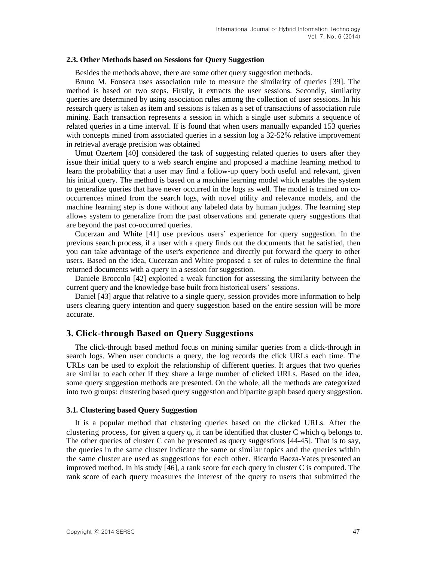#### **2.3. Other Methods based on Sessions for Query Suggestion**

Besides the methods above, there are some other query suggestion methods.

[Bruno M. Fonseca](http://dl.acm.org/author_page.cfm?id=81100076425&coll=DL&dl=ACM&trk=0&cfid=181380019&cftoken=74671942) uses association rule to measure the similarity of queries [39]. The method is based on two steps. Firstly, it extracts the user sessions. Secondly, similarity queries are determined by using association rules among the collection of user sessions. In his research query is taken as item and sessions is taken as a set of transactions of association rule mining. Each transaction represents a session in which a single user submits a sequence of related queries in a time interval. If is found that when users manually expanded 153 queries with concepts mined from associated queries in a session log a 32-52% relative improvement in retrieval average precision was obtained

Umut Ozertem [40] considered the task of suggesting related queries to users after they issue their initial query to a web search engine and proposed a machine learning method to learn the probability that a user may find a follow-up query both useful and relevant, given his initial query. The method is based on a machine learning model which enables the system to generalize queries that have never occurred in the logs as well. The model is trained on cooccurrences mined from the search logs, with novel utility and relevance models, and the machine learning step is done without any labeled data by human judges. The learning step allows system to generalize from the past observations and generate query suggestions that are beyond the past co-occurred queries.

Cucerzan and White [41] use previous users' experience for query suggestion. In the previous search process, if a user with a query finds out the documents that he satisfied, then you can take advantage of the user's experience and directly put forward the query to other users. Based on the idea, Cucerzan and White proposed a set of rules to determine the final returned documents with a query in a session for suggestion.

Daniele Broccolo [42] exploited a weak function for assessing the similarity between the current query and the knowledge base built from historical users' sessions.

Daniel [43] argue that relative to a single query, session provides more information to help users clearing query intention and query suggestion based on the entire session will be more accurate.

# **3. Click-through Based on Query Suggestions**

The click-through based method focus on mining similar queries from a click-through in search logs. When user conducts a query, the log records the click URLs each time. The URLs can be used to exploit the relationship of different queries. It argues that two queries are similar to each other if they share a large number of clicked URLs. Based on the idea, some query suggestion methods are presented. On the whole, all the methods are categorized into two groups: clustering based query suggestion and bipartite graph based query suggestion.

### **3.1. Clustering based Query Suggestion**

It is a popular method that clustering queries based on the clicked URLs. After the clustering process, for given a query  $q_i$ , it can be identified that cluster C which  $q_i$  belongs to. The other queries of cluster C can be presented as query suggestions [44-45]. That is to say, the queries in the same cluster indicate the same or similar topics and the queries within the same cluster are used as suggestions for each other. Ricardo Baeza-Yates presented an improved method. In his study [46], a rank score for each query in cluster C is computed. The rank score of each query measures the interest of the query to users that submitted the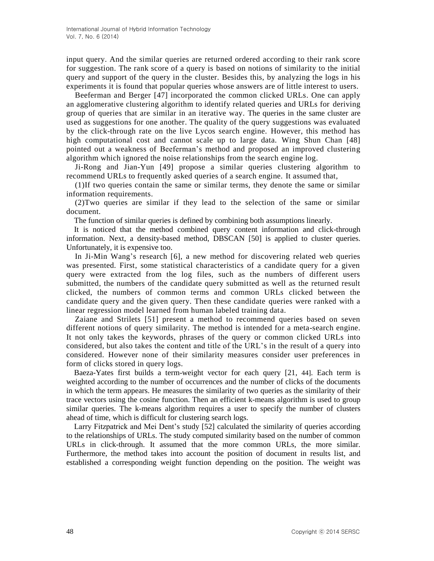input query. And the similar queries are returned ordered according to their rank score for suggestion. The rank score of a query is based on notions of similarity to the initial query and support of the query in the cluster. Besides this, by analyzing the logs in his experiments it is found that popular queries whose answers are of little interest to users.

Beeferman and Berger [47] incorporated the common clicked URLs. One can apply an agglomerative clustering algorithm to identify related queries and URLs for deriving group of queries that are similar in an iterative way. The queries in the same cluster are used as suggestions for one another. The quality of the query suggestions was evaluated by the click-through rate on the live Lycos search engine. However, this method has high computational cost and cannot scale up to large data. Wing Shun Chan [48] pointed out a weakness of Beeferman's method and proposed an improved clustering algorithm which ignored the noise relationships from the search engine log.

Ji-Rong and Jian-Yun [49] propose a similar queries clustering algorithm to recommend URLs to frequently asked queries of a search engine. It assumed that,

(1)If two queries contain the same or similar terms, they denote the same or similar information requirements.

(2)Two queries are similar if they lead to the selection of the same or similar document.

The function of similar queries is defined by combining both assumptions linearly.

It is noticed that the method combined query content information and click-through information. Next, a density-based method, DBSCAN [50] is applied to cluster queries. Unfortunately, it is expensive too.

In Ji-Min Wang's research [6], a new method for discovering related web queries was presented. First, some statistical characteristics of a candidate query for a given query were extracted from the log files, such as the numbers of different users submitted, the numbers of the candidate query submitted as well as the returned result clicked, the numbers of common terms and common URLs clicked between the candidate query and the given query. Then these candidate queries were ranked with a linear regression model learned from human labeled training data.

Zaiane and Strilets [51] present a method to recommend queries based on seven different notions of query similarity. The method is intended for a meta-search engine. It not only takes the keywords, phrases of the query or common clicked URLs into considered, but also takes the content and title of the URL's in the result of a query into considered. However none of their similarity measures consider user preferences in form of clicks stored in query logs.

Baeza-Yates first builds a term-weight vector for each query [21, 44]. Each term is weighted according to the number of occurrences and the number of clicks of the documents in which the term appears. He measures the similarity of two queries as the similarity of their trace vectors using the cosine function. Then an efficient k-means algorithm is used to group similar queries. The k-means algorithm requires a user to specify the number of clusters ahead of time, which is difficult for clustering search logs.

Larry Fitzpatrick and Mei Dent's study [52] calculated the similarity of queries according to the relationships of URLs. The study computed similarity based on the number of common URLs in click-through. It assumed that the more common URLs, the more similar. Furthermore, the method takes into account the position of document in results list, and established a corresponding weight function depending on the position. The weight was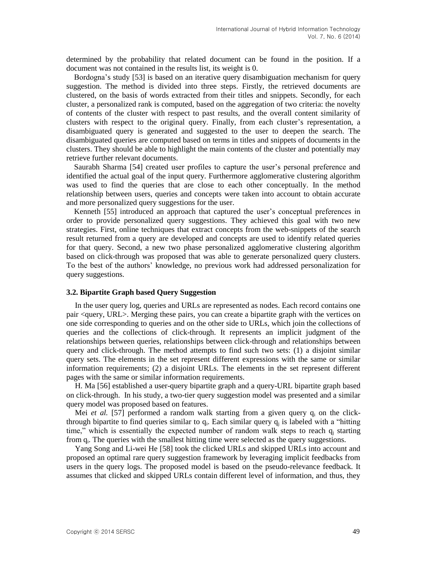determined by the probability that related document can be found in the position. If a document was not contained in the results list, its weight is 0.

Bordogna's study [53] is based on an iterative query disambiguation mechanism for query suggestion. The method is divided into three steps. Firstly, the retrieved documents are clustered, on the basis of words extracted from their titles and snippets. Secondly, for each cluster, a personalized rank is computed, based on the aggregation of two criteria: the novelty of contents of the cluster with respect to past results, and the overall content similarity of clusters with respect to the original query. Finally, from each cluster's representation, a disambiguated query is generated and suggested to the user to deepen the search. The disambiguated queries are computed based on terms in titles and snippets of documents in the clusters. They should be able to highlight the main contents of the cluster and potentially may retrieve further relevant documents.

Saurabh Sharma [54] created user profiles to capture the user's personal preference and identified the actual goal of the input query. Furthermore agglomerative clustering algorithm was used to find the queries that are close to each other conceptually. In the method relationship between users, queries and concepts were taken into account to obtain accurate and more personalized query suggestions for the user.

Kenneth [55] introduced an approach that captured the user's conceptual preferences in order to provide personalized query suggestions. They achieved this goal with two new strategies. First, online techniques that extract concepts from the web-snippets of the search result returned from a query are developed and concepts are used to identify related queries for that query. Second, a new two phase personalized agglomerative clustering algorithm based on click-through was proposed that was able to generate personalized query clusters. To the best of the authors' knowledge, no previous work had addressed personalization for query suggestions.

### **3.2. Bipartite Graph based Query Suggestion**

In the user query log, queries and URLs are represented as nodes. Each record contains one pair <query, URL>. Merging these pairs, you can create a bipartite graph with the vertices on one side corresponding to queries and on the other side to URLs, which join the collections of queries and the collections of click-through. It represents an implicit judgment of the relationships between queries, relationships between click-through and relationships between query and click-through. The method attempts to find such two sets: (1) a disjoint similar query sets. The elements in the set represent different expressions with the same or similar information requirements; (2) a disjoint URLs. The elements in the set represent different pages with the same or similar information requirements.

H. Ma [56] established a user-query bipartite graph and a query-URL bipartite graph based on click-through. In his study, a two-tier query suggestion model was presented and a similar query model was proposed based on features.

Mei *et al.* [57] performed a random walk starting from a given query  $q_i$  on the clickthrough bipartite to find queries similar to  $q_i$ . Each similar query  $q_i$  is labeled with a "hitting time," which is essentially the expected number of random walk steps to reach  $q_i$  starting from q<sub>i</sub>. The queries with the smallest hitting time were selected as the query suggestions.

Yang Song and Li-wei He [58] took the clicked URLs and skipped URLs into account and proposed an optimal rare query suggestion framework by leveraging implicit feedbacks from users in the query logs. The proposed model is based on the pseudo-relevance feedback. It assumes that clicked and skipped URLs contain different level of information, and thus, they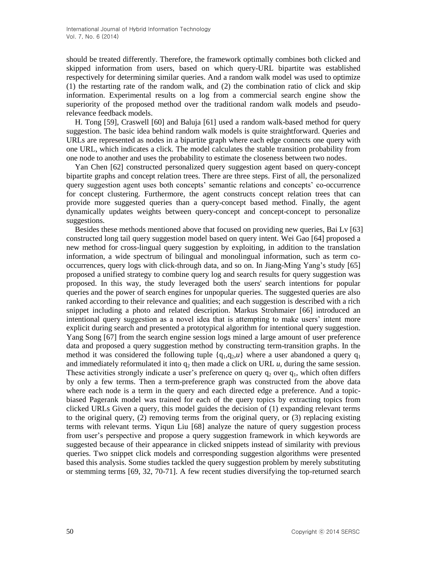should be treated differently. Therefore, the framework optimally combines both clicked and skipped information from users, based on which query-URL bipartite was established respectively for determining similar queries. And a random walk model was used to optimize (1) the restarting rate of the random walk, and (2) the combination ratio of click and skip information. Experimental results on a log from a commercial search engine show the superiority of the proposed method over the traditional random walk models and pseudorelevance feedback models.

H. Tong [59], Craswell [60] and Baluja [61] used a random walk-based method for query suggestion. The basic idea behind random walk models is quite straightforward. Queries and URLs are represented as nodes in a bipartite graph where each edge connects one query with one URL, which indicates a click. The model calculates the stable transition probability from one node to another and uses the probability to estimate the closeness between two nodes.

Yan Chen [62] constructed personalized query suggestion agent based on query-concept bipartite graphs and concept relation trees. There are three steps. First of all, the personalized query suggestion agent uses both concepts' semantic relations and concepts' co-occurrence for concept clustering. Furthermore, the agent constructs concept relation trees that can provide more suggested queries than a query-concept based method. Finally, the agent dynamically updates weights between query-concept and concept-concept to personalize suggestions.

Besides these methods mentioned above that focused on providing new queries, Bai Lv [63] constructed long tail query suggestion model based on query intent. Wei Gao [64] proposed a new method for cross-lingual query suggestion by exploiting, in addition to the translation information, a wide spectrum of bilingual and monolingual information, such as term cooccurrences, query logs with click-through data, and so on. In Jiang-Ming Yang's study [65] proposed a unified strategy to combine query log and search results for query suggestion was proposed. In this way, the study leveraged both the users' search intentions for popular queries and the power of search engines for unpopular queries. The suggested queries are also ranked according to their relevance and qualities; and each suggestion is described with a rich snippet including a photo and related description. Markus Strohmaier [66] introduced an intentional query suggestion as a novel idea that is attempting to make users' intent more explicit during search and presented a prototypical algorithm for intentional query suggestion. Yang Song [67] from the search engine session logs mined a large amount of user preference data and proposed a query suggestion method by constructing term-transition graphs. In the method it was considered the following tuple  $\{q_1, q_2, u\}$  where a user abandoned a query  $q_1$ and immediately reformulated it into  $q_2$  then made a click on URL  $u$ , during the same session. These activities strongly indicate a user's preference on query  $q_2$  over  $q_1$ , which often differs by only a few terms. Then a term-preference graph was constructed from the above data where each node is a term in the query and each directed edge a preference. And a topicbiased Pagerank model was trained for each of the query topics by extracting topics from clicked URLs Given a query, this model guides the decision of (1) expanding relevant terms to the original query,  $(2)$  removing terms from the original query, or  $(3)$  replacing existing terms with relevant terms. Yiqun Liu [68] analyze the nature of query suggestion process from user's perspective and propose a query suggestion framework in which keywords are suggested because of their appearance in clicked snippets instead of similarity with previous queries. Two snippet click models and corresponding suggestion algorithms were presented based this analysis. Some studies tackled the query suggestion problem by merely substituting or stemming terms [69, 32, 70-71]. A few recent studies diversifying the top-returned search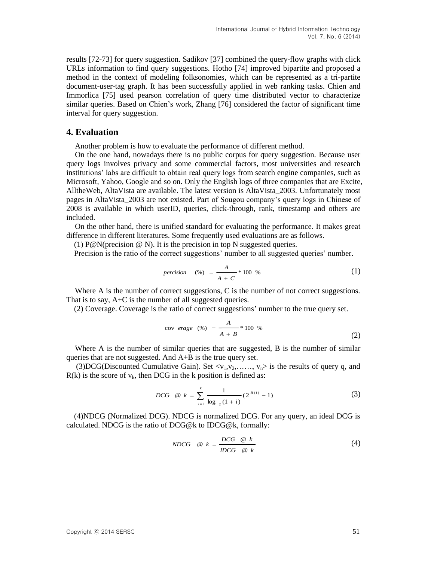results [72-73] for query suggestion. Sadikov [37] combined the query-flow graphs with click URLs information to find query suggestions. Hotho [74] improved bipartite and proposed a method in the context of modeling folksonomies, which can be represented as a tri-partite document-user-tag graph. It has been successfully applied in web ranking tasks. Chien and Immorlica [75] used pearson correlation of query time distributed vector to characterize similar queries. Based on Chien's work, Zhang [76] considered the factor of significant time interval for query suggestion.

### **4. Evaluation**

Another problem is how to evaluate the performance of different method.

On the one hand, nowadays there is no public corpus for query suggestion. Because user query logs involves privacy and some commercial factors, most universities and research institutions' labs are difficult to obtain real query logs from search engine companies, such as Microsoft, Yahoo, Google and so on. Only the English logs of three companies that are Excite, AlltheWeb, AltaVista are available. The latest version is AltaVista\_2003. Unfortunately most pages in AltaVista\_2003 are not existed. Part of Sougou company's query logs in Chinese of 2008 is available in which userID, queries, click-through, rank, timestamp and others are included.

On the other hand, there is unified standard for evaluating the performance. It makes great difference in different literatures. Some frequently used evaluations are as follows.

(1)  $P@N(precision @ N)$ . It is the precision in top N suggested queries.

Precision is the ratio of the correct suggestions' number to all suggested queries' number.

$$
precision \quad (*) = \frac{A}{A+C} * 100 % \tag{1}
$$

Where A is the number of correct suggestions, C is the number of not correct suggestions. That is to say, A+C is the number of all suggested queries.

(2) Coverage. Coverage is the ratio of correct suggestions' number to the true query set.

$$
cov\,\,erage\ \, (%)\,\,=\,\frac{A}{A+B} * 100 % \tag{2}
$$

Where A is the number of similar queries that are suggested, B is the number of similar queries that are not suggested. And A+B is the true query set.

(3)DCG(Discounted Cumulative Gain). Set  $\langle v_1, v_2, \ldots, v_n \rangle$  is the results of query q, and  $R(k)$  is the score of  $v_k$ , then DCG in the k position is defined as:

$$
DCG \quad \text{@} \quad k = \sum_{i=1}^{k} \frac{1}{\log_{2}(1+i)} (2^{R(i)} - 1) \tag{3}
$$

(4)NDCG (Normalized DCG). NDCG is normalized DCG. For any query, an ideal DCG is calculated. NDCG is the ratio of DCG@k to IDCG@k, formally:

$$
NDCG \quad @ k = \frac{DCG \quad @ k}{IDCG \quad @ k}
$$
 (4)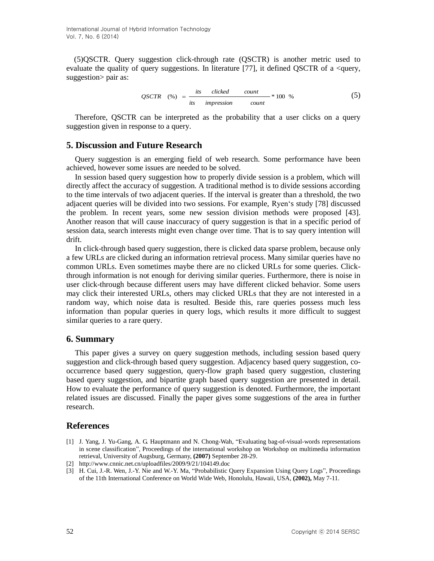(5)QSCTR. Query suggestion click-through rate (QSCTR) is another metric used to evaluate the quality of query suggestions. In literature  $[77]$ , it defined QSCTR of a <query, suggestion > pair as:

$$
QSCTR (%) = \frac{its \text{ clicked count}}{its \text{ impression count}} * 100 % \qquad (5)
$$

Therefore, QSCTR can be interpreted as the probability that a user clicks on a query suggestion given in response to a query.

# **5. Discussion and Future Research**

Query suggestion is an emerging field of web research. Some performance have been achieved, however some issues are needed to be solved.

In session based query suggestion how to properly divide session is a problem, which will directly affect the accuracy of suggestion. A traditional method is to divide sessions according to the time intervals of two adjacent queries. If the interval is greater than a threshold, the two adjacent queries will be divided into two sessions. For example, Ryen's study [78] discussed the problem. In recent years, some new session division methods were proposed [43]. Another reason that will cause inaccuracy of query suggestion is that in a specific period of session data, search interests might even change over time. That is to say query intention will drift.

In click-through based query suggestion, there is clicked data sparse problem, because only a few URLs are clicked during an information retrieval process. Many similar queries have no common URLs. Even sometimes maybe there are no clicked URLs for some queries. Clickthrough information is not enough for deriving similar queries. Furthermore, there is noise in user click-through because different users may have different clicked behavior. Some users may click their interested URLs, others may clicked URLs that they are not interested in a random way, which noise data is resulted. Beside this, rare queries possess much less information than popular queries in query logs, which results it more difficult to suggest similar queries to a rare query.

### **6. Summary**

This paper gives a survey on query suggestion methods, including session based query suggestion and click-through based query suggestion. Adjacency based query suggestion, cooccurrence based query suggestion, query-flow graph based query suggestion, clustering based query suggestion, and bipartite graph based query suggestion are presented in detail. How to evaluate the performance of query suggestion is denoted. Furthermore, the important related issues are discussed. Finally the paper gives some suggestions of the area in further research.

# **References**

- [1] [J. Yang,](http://dl.acm.org/author_page.cfm?id=81361591407&coll=DL&dl=ACM&trk=0&cfid=268595331&cftoken=82185425) J. [Yu-Gang,](http://dl.acm.org/author_page.cfm?id=81384618611&coll=DL&dl=ACM&trk=0&cfid=268595331&cftoken=82185425) [A. G. Hauptmann](http://dl.acm.org/author_page.cfm?id=81100535010&coll=DL&dl=ACM&trk=0&cfid=268595331&cftoken=82185425) and N. [Chong-Wah,](http://dl.acm.org/author_page.cfm?id=81100420194&coll=DL&dl=ACM&trk=0&cfid=268595331&cftoken=82185425) "Evaluating bag-of-visual-words representations in scene classification", Proceedings of the international workshop on Workshop on multimedia information retrieval, University of Augsburg, Germany, **(2007)** September 28-29.
- [2] http://www.cnnic.net.cn/uploadfiles/2009/9/21/104149.doc
- [3] H. Cui, J.-R. Wen, J.-Y. Nie and W.-Y. Ma, "Probabilistic Query Expansion Using Query Logs", Proceedings of the 11th International Conference on World Wide Web, Honolulu, Hawaii, USA, **(2002),** May 7-11.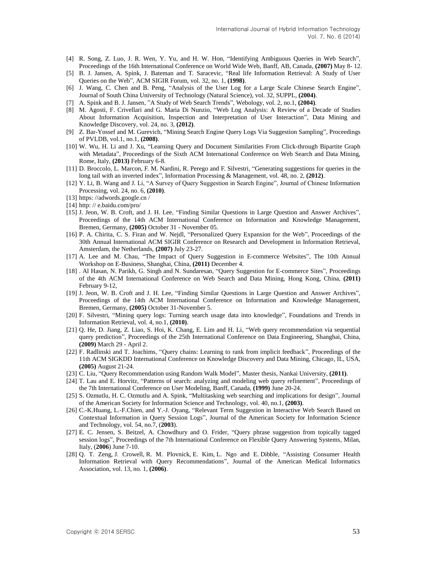- [4] R. Song, Z. Luo, J. R. Wen, Y. Yu, and H. W. Hon, "Identifying Ambiguous Queries in Web Search", Proceedings of the 16th International Conference on World Wide Web, Banff, AB, Canada, **(2007)** May 8- 12.
- [5] B. J. Jansen, [A. Spink,](http://dl.acm.org/author_page.cfm?id=81100385448&coll=DL&dl=ACM&trk=0&cfid=179405969&cftoken=17749521) [J. Bateman](http://dl.acm.org/author_page.cfm?id=81100473648&coll=DL&dl=ACM&trk=0&cfid=179405969&cftoken=17749521) and [T. Saracevic,](http://dl.acm.org/author_page.cfm?id=81100321878&coll=DL&dl=ACM&trk=0&cfid=179405969&cftoken=17749521) "Real life Information Retrieval: A Study of User Queries on the Web", ACM SIGIR Forum, vol. 32, no. 1, **(1998)**.
- [6] J. Wang, C. Chen and B. Peng, "Analysis of the User Log for a Large Scale Chinese Search Engine", Journal of South China University of Technology (Natural Science), vol. 32, SUPPL, **(2004)**.
- [7] A. Spink and B. J. Jansen, "A Study of Web Search Trends", Webology, vol. 2, no.1, **(2004)**.
- [8] M. Agosti, F. Crivellari and G. Maria Di Nunzio, "Web Log Analysis: A Review of a Decade of Studies About Information Acquisition, Inspection and Interpretation of User Interaction", [Data Mining and](http://link.springer.com/journal/10618)  [Knowledge Discovery,](http://link.springer.com/journal/10618) vol. 24, no. 3, **(2012)**.
- [9] Z. Bar-Yossef and M. Gurevich, "Mining Search Engine Query Logs Via Suggestion Sampling", Proceedings of PVLDB, vol.1, no.1, **(2008)**.
- [10] W. Wu, H. Li and J. Xu, "Learning Query and Document Similarities From Click-through Bipartite Graph with Metadata", Proceedings of the Sixth ACM International Conference on Web Search and Data Mining, Rome, Italy, **(2013)** February 6-8.
- [11] D. Broccolo, L. Marcon, F. M. Nardini, R. Perego and F. Silvestri, "Generating suggestions for queries in the long tail with an inverted index", Information Processing & Management, vol. 48, no. 2, **(2012)**.
- [12] Y. Li, B. Wang and J. Li, "A Survey of Query Suggestion in Search Engine", Journal of Chinese Information Processing, vol. 24, no. 6, **(2010)**.
- [13] https: //adwords.google.cn /
- [14] http: // e.baidu.com/pro/
- [15] J. Jeon, W. B. Croft, and J. H. Lee, "Finding Similar Questions in Large Question and Answer Archives", Proceedings of the 14th ACM International Conference on Information and Knowledge Management, Bremen, Germany, **(2005)** October 31 - November 05.
- [16] P. A. Chirita, C. S. Firan and W. Nejdl, "Personalized Query Expansion for the Web", Proceedings of the 30th Annual International ACM SIGIR Conference on Research and Development in Information Retrieval, Amsterdam, the Netherlands, **(2007)** July 23-27.
- [17] [A.](http://www.engineeringvillage.com/search/results/quick.url?CID=quickSearchCitationFormat&searchWord1=%7bLee%2C+Alice%7d§ion1=AU&database=1&yearselect=yearrange&sort=yr) Lee and M. Chau, "The Impact of Query Suggestion in E-commerce Websites", The 10th Annual Workshop on E-Business, Shanghai, China, **(2011)** December 4.
- [18] . Al Hasan, N. Parikh, G. [Singh](http://www.engineeringvillage.com/search/results/quick.url?CID=quickSearchCitationFormat&searchWord1=%7bSingh%2C+Gyanit%7d§ion1=AU&database=1&yearselect=yearrange&sort=yr) and [N.](http://www.engineeringvillage.com/search/results/quick.url?CID=quickSearchCitationFormat&searchWord1=%7bSundaresan%2C+Neel%7d§ion1=AU&database=1&yearselect=yearrange&sort=yr) Sundaresan, "Query Suggestion for E-commerce Sites", Proceedings of the 4th ACM International Conference on Web Search and Data Mining, Hong Kong, China, **(2011)** February 9-12,
- [19] J. Jeon, W. B. Croft and J. H. Lee, "Finding Similar Questions in Large Question and Answer Archives", Proceedings of the 14th ACM International Conference on Information and Knowledge Management, Bremen, Germany, **(2005)** October 31-November 5.
- [20] F. Silvestri, "Mining query logs: Turning search usage data into knowledge", Foundations and Trends in Information Retrieval, vol. 4, no.1, **(2010)**.
- [21] Q. He, D. Jiang, Z. Liao, S. Hoi, K. Chang, E. Lim and H. Li, "Web query recommendation via sequential query prediction", Proceedings of the 25th International Conference on Data Engineering, Shanghai, China, **(2009)** March 29 - April 2.
- [22] F. Radlinski and T. Joachims, "Query chains: Learning to rank from implicit feedback", Proceedings of the 11th ACM SIGKDD International Conference on Knowledge Discovery and Data Mining, Chicago, IL, USA, **(2005)** August 21-24.
- [23] C. Liu, "Query Recommendation using Random Walk Model", Master thesis, Nankai University, **(2011)**.
- [24] T. Lau and E. Horvitz, "Patterns of search: analyzing and modeling web query refinement", Proceedings of the 7th International Conference on User Modeling, Banff, Canada, **(1999)** June 20-24.
- [25] S. Ozmutlu, H. C. Ozmutlu and A. Spink, "Multitasking web searching and implications for design", Journal of the American Society for Information Science and Technology, vol. 40, no.1, **(2003)**.
- [26] C.-K.Huang, L.-F.Chien, and Y.-J. Oyang, "Relevant Term Suggestion in Interactive Web Search Based on Contextual Information in Query Session Logs", Journal of the American Society for Information Science and Technology, vol. 54, no.7, (**2003**).
- [27] E. C. Jensen, S. Beitzel, A. Chowdhury and O. Frider, "Query phrase suggestion from topically tagged session logs", Proceedings of the 7th International Conference on Flexible Query Answering Systems, Milan, Italy, (**2006**) June 7-10.
- [28] Q. T. Zeng, J. [Crowell,](http://www.ncbi.nlm.nih.gov/pubmed?term=Crowell%20J%5BAuthor%5D&cauthor=true&cauthor_uid=16221944) R. M. [Plovnick,](http://www.ncbi.nlm.nih.gov/pubmed?term=Plovnick%20RM%5BAuthor%5D&cauthor=true&cauthor_uid=16221944) E. [Kim,](http://www.ncbi.nlm.nih.gov/pubmed?term=Kim%20E%5BAuthor%5D&cauthor=true&cauthor_uid=16221944) L. [Ngo](http://www.ncbi.nlm.nih.gov/pubmed?term=Ngo%20L%5BAuthor%5D&cauthor=true&cauthor_uid=16221944) and E. [Dibble,](http://www.ncbi.nlm.nih.gov/pubmed?term=Dibble%20E%5BAuthor%5D&cauthor=true&cauthor_uid=16221944) "Assisting Consumer Health Information Retrieval with Query Recommendations", Journal of the American Medical Informatics Association, vol. 13, no. 1, **(2006)**.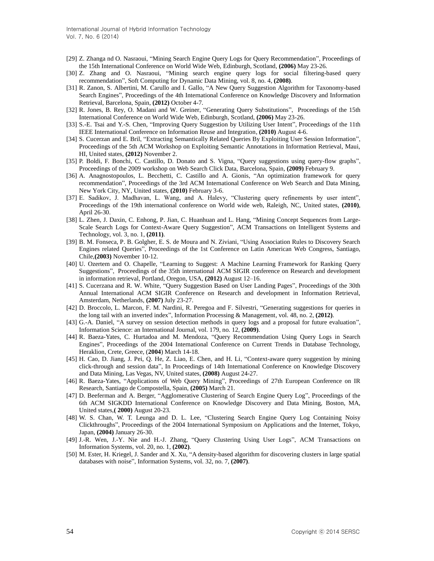International Journal of Hybrid Information Technology Vol. 7, No. 6 (2014)

- [29] Z. Zhanga nd O. Nasraoui, "Mining Search Engine Query Logs for Query Recommendation", Proceedings of the 15th International Conference on World Wide Web, Edinburgh, Scotland, **(2006)** May 23-26.
- [30] Z. Zhang and O. Nasraoui, "Mining search engine query logs for social filtering-based query recommendation", Soft Computing for Dynamic Data Mining, vol. 8, no. 4, **(2008)**.
- [31] R. Zanon, S. Albertini, M. Carullo and I. Gallo, "A New Query Suggestion Algorithm for Taxonomy-based Search Engines", Proceedings of the 4th International Conference on Knowledge Discovery and Information Retrieval, Barcelona, Spain, **(2012)** October 4-7.
- [32] R. Jones, B. Rey, O. Madani and W. Greiner, "Generating Query Substitutions", Proceedings of the 15th International Conference on World Wide Web, Edinburgh, Scotland, **(2006)** May 23-26.
- [33] S.-E. Tsai and Y.-S. Chen, "Improving Query Suggestion by Utilizing User Intent", Proceedings of the 11th IEEE International Conference on Information Reuse and Integration, **(2010)** August 4-6.
- [34] S. Cucerzan and E. Bril, "Extracting Semantically Related Queries By Exploiting User Session Information", Proceedings of the 5th ACM Workshop on Exploiting Semantic Annotations in Information Retrieval, Maui, HI, United states, **(2012)** November 2.
- [35] P. Boldi, F. Bonchi, C. Castillo, D. Donato and S. Vigna, "Query suggestions using query-flow graphs", Proceedings of the 2009 workshop on Web Search Click Data, Barcelona, Spain, **(2009)** February 9.
- [36] A. Anagnostopoulos, L. Becchetti, C. Castillo and A. Gionis, "An optimization framework for query recommendation", Proceedings of the 3rd ACM International Conference on Web Search and Data Mining, New York City, NY, United states, **(2010)** February 3-6.
- [37] E. Sadikov, J. Madhavan, L. Wang, and A. Halevy, "Clustering query refinements by user intent", Proceedings of the 19th international conference on World wide web, Raleigh, NC, United states, **(2010)**, April 26-30.
- [38] L. Zhen, J. Daxin, C. Enhong, P. Jian, C. Huanhuan and L. Hang, "Mining Concept Sequences from Large-Scale Search Logs for Context-Aware Query Suggestion", ACM Transactions on Intelligent Systems and Technology, vol. 3, no. 1, **(2011)**.
- [39] [B. M. Fonseca,](http://dl.acm.org/author_page.cfm?id=81100076425&coll=DL&dl=ACM&trk=0&cfid=181380019&cftoken=74671942) [P. B. Golgher,](http://dl.acm.org/author_page.cfm?id=81100232416&coll=DL&dl=ACM&trk=0&cfid=181380019&cftoken=74671942) [E. S. de Moura](http://dl.acm.org/author_page.cfm?id=81100193605&coll=DL&dl=ACM&trk=0&cfid=181380019&cftoken=74671942) and [N. Ziviani,](http://dl.acm.org/author_page.cfm?id=81409594876&coll=DL&dl=ACM&trk=0&cfid=181380019&cftoken=74671942) "Using Association Rules to Discovery Search Engines related Queries", Proceedings of the 1st Conference on Latin American Web Congress, Santiago, Chile,**(2003)** November 10-12.
- [40] U. Ozertem and O. Chapelle, "Learning to Suggest: A Machine Learning Framework for Ranking Query Suggestions", Proceedings of the 35th international ACM SIGIR conference on Research and development in information retrieval, Portland, Oregon, USA, **(2012)** August 12–16.
- [41] S. Cucerzana and R. W. White, "Query Suggestion Based on User Landing Pages", Proceedings of the 30th Annual International ACM SIGIR Conference on Research and development in Information Retrieval, Amsterdam, Netherlands, **(2007)** July 23-27.
- [42] D. Broccolo, L. Marcon, F. M. Nardini, R. Peregoa and F. Silvestri, "Generating suggestions for queries in the long tail with an inverted index", Information Processing & Management, vol. 48, no. 2, **(2012)**.
- [43] G.-A. Daniel, "A survey on session detection methods in query logs and a proposal for future evaluation", Information Science: an International Journal, vol. 179, no. 12, **(2009)**.
- [44] R. Baeza-Yates, C. Hurtadoa and M. Mendoza, "Query Recommendation Using Query Logs in Search Engines", Proceedings of the 2004 International Conference on Current Trends in Database Technology, Heraklion, Crete, Greece, (**2004**) March 14-18.
- [45] H. Cao, D. Jiang, J. Pei, Q. He, Z. Liao, E. Chen, and H. Li, "Context-aware query suggestion by mining click-through and session data", In Proceedings of 14th International Conference on Knowledge Discovery and Data Mining, Las Vegas, NV, United states, **(2008)** August 24-27.
- [46] R. Baeza-Yates, "Applications of Web Query Mining", Proceedings of 27th European Conference on IR Research, Santiago de Compostella, Spain, **(2005)** March 21.
- [47] D. Beeferman and A. Berger, "Agglomerative Clustering of Search Engine Query Log", Proceedings of the 6th ACM SIGKDD International Conference on Knowledge Discovery and Data Mining, Boston, MA, United states,**( 2000)** August 20-23.
- [48] W. S. Chan, W. T. Leunga and D. L. Lee, "Clustering Search Engine Query Log Containing Noisy Clickthroughs", Proceedings of the 2004 International Symposium on Applications and the Internet, Tokyo, Japan, **(2004)** January 26-30.
- [49] J.-R. Wen, J.-Y. Nie and H.-J. Zhang, "Query Clustering Using User Logs", ACM Transactions on Information Systems, vol. 20, no. 1, **(2002)**.
- [50] M. Ester, H. Kriegel, J. Sander and X. Xu, "A density-based algorithm for discovering clusters in large spatial databases with noise", Information Systems, vol. 32, no. 7, **(2007)**.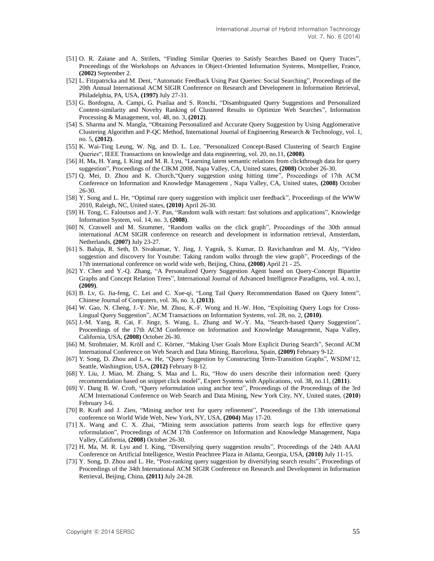- [51] O. R. Zaïane and A. Strilets, "Finding Similar Queries to Satisfy Searches Based on Query Traces", Proceedings of the Workshops on Advances in Object-Oriented Information Systems, Montpellier, France, **(2002)** September 2.
- [52] [L. Fitzpatricka](http://dl.acm.org/author_page.cfm?id=81100558352&coll=DL&dl=ACM&trk=0&cfid=181380019&cftoken=74671942) and M. [Dent,](http://dl.acm.org/author_page.cfm?id=81332495965&coll=DL&dl=ACM&trk=0&cfid=181380019&cftoken=74671942) "Automatic Feedback Using Past Queries: Social Searching", Proceedings of the 20th Annual International ACM SIGIR Conference on Research and Development in Information Retrieval, Philadelphia, PA, USA, **(1997)** July 27-31.
- [53] G. Bordogna, A. Campi, G. Psailaa and S. Ronchi, "Disambiguated Query Suggestions and Personalized Content-similarity and Novelty Ranking of Clustered Results to Optimize Web Searches", Information Processing & Management, vol. 48, no. 3, **(2012)**.
- [54] S. Sharma and N. Mangla, "Obtaining Personalized and Accurate Query Suggestion by Using Agglomerative Clustering Algorithm and P-QC Method, International Journal of Engineering Research & Technology, vol. 1, no. 5, **(2012)**.
- [55] K. Wai-Ting Leung, W. Ng, and D. L. Lee, "Personalized Concept-Based Clustering of Search Engine Queries", IEEE Transactions on knowledge and data engineering, vol. 20, no.11, **(2008)**.
- [56] H. Ma, H. Yang, I. King and M. R. Lyu, "Learning latent semantic relations from clickthrough data for query suggestion", Proceedings of the CIKM 2008, Napa Valley, CA, United states, **(2008)** October 26-30.
- [57] Q. Mei, D. Zhou and K. Church,"Query suggestion using hitting time", Proceedings of 17th ACM Conference on Information and Knowledge Management , Napa Valley, CA, United states, **(2008)** October 26-30.
- [58] Y. Song and L. He, "Optimal rare query suggestion with implicit user feedback", Proceedings of the WWW 2010, Raleigh, NC, United states, **(2010)** April 26-30.
- [59] H. Tong, C. Faloutsos and J.-Y. Pan, "Random walk with restart: fast solutions and applications", Knowledge Information System, vol. 14, no. 3, **(2008)**.
- [60] N. Craswell and M. Szummer, "Random walks on the click graph", Proceedings of the 30th annual international ACM SIGIR conference on research and development in information retrieval, Amsterdam, Netherlands, **(2007)** July 23-27.
- [61] S. Baluja, R. Seth, D. Sivakumar, Y. Jing, J. Yagnik, S. Kumar, D. Ravichandran and M. Aly, "Video suggestion and discovery for Youtube: Taking random walks through the view graph", Proceedings of the 17th international conference on world wide web, Beijing, China, **(2008)** April 21 - 25.
- [62] Y. Chen and Y.-Q. Zhang, "A Personalized Query Suggestion Agent based on Query-Concept Bipartite Graphs and Concept Relation Trees", International Journal of Advanced Intelligence Paradigms, vol. 4, no.1, **(2009)**.
- [63] B. Lv, G. Jia-feng, C. Lei and C. Xue-qi, "Long Tail Query Recommendation Based on Query Intent", Chinese Journal of Computers, vol. 36, no. 3, **(2013)**.
- [64] W. Gao, N. Cheng, J.-Y. Nie, M. Zhou, K.-F. Wong and H.-W. Hon, "Exploiting Query Logs for Cross-Lingual Query Suggestion", ACM Transactions on Information Systems, vol. 28, no. 2, **(2010)**.
- [65] J.-M. Yang, R. Cai, F. Jingz, S. Wang, L. Zhang and W.-Y. Ma, "Search-based Query Suggestion", Proceedings of the 17th ACM Conference on Information and Knowledge Management, Napa Valley, California, USA, **(2008)** October 26-30.
- [66] M. Strohmaier, M. Kröll and C. Körner, "Making User Goals More Explicit During Search", Second ACM International Conference on Web Search and Data Mining, Barcelona, Spain, **(2009)** February 9-12.
- [67] Y. Song, D. Zhou and L.-w. He, "Query Suggestion by Constructing Term-Transition Graphs", WSDM'12, Seattle, Washingtion, USA, **(2012)** February 8-12.
- [68] Y. Liu, J. Miao, M. Zhang, S. Maa and L. Ru, "How do users describe their information need: Query recommendation based on snippet click model", Expert Systems with Applications, vol. 38, no.11, (**2011**).
- [69] V. Dang B. W. Croft, "Query reformulation using anchor text", Proceedings of the Proceedings of the 3rd ACM International Conference on Web Search and Data Mining, New York City, NY, United states, (**2010**) February 3-6.
- [70] R. Kraft and J. Zien, "Mining anchor text for query refinement", Proceedings of the 13th international conference on World Wide Web, New York, NY, USA, **(2004)** May 17-20.
- [71] X. Wang and C. X. Zhai, "Mining term association patterns from search logs for effective query reformulation", Proceedings of ACM 17th Conference on Information and Knowledge Management, Napa Valley, California, **(2008)** October 26-30.
- [72] H. Ma, M. R. Lyu and I. King, "Diversifying query suggestion results", Proceedings of the 24th AAAI Conference on Artificial Intelligence, Westin Peachtree Plaza in Atlanta, Georgia, USA, **(2010)** July 11-15.
- [73] Y. Song, D. Zhou and L. He, "Post-ranking query suggestion by diversifying search results", Proceedings of Proceedings of the 34th International ACM SIGIR Conference on Research and Development in Information Retrieval, Beijing, China, **(2011)** July 24-28.